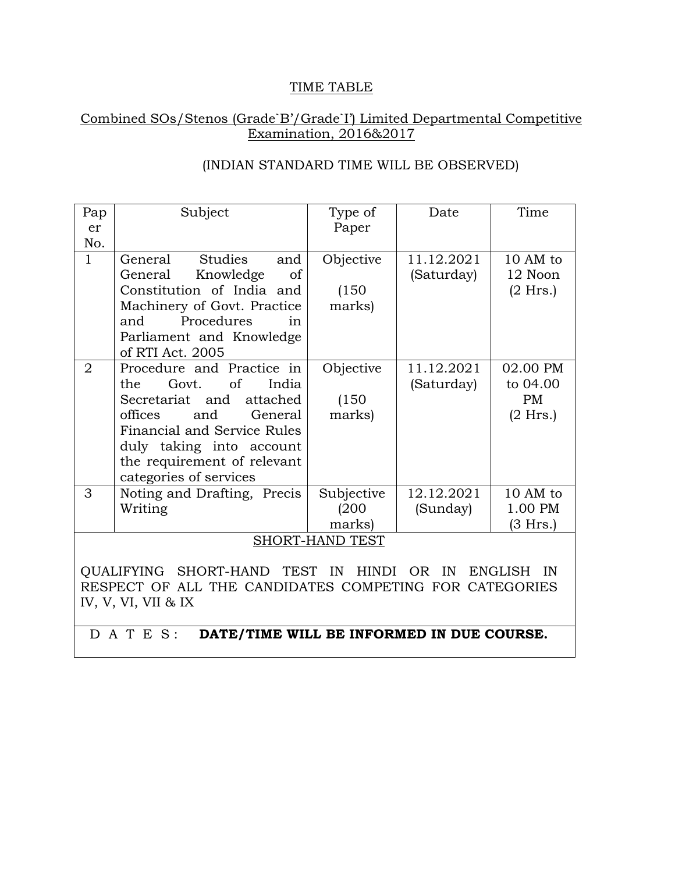### TIME TABLE

# Combined SOs/Stenos (Grade`B'/Grade`I') Limited Departmental Competitive Examination, 2016&2017

| Pap<br>er<br>No.                                                                                   | Subject                                                                                                                                                                                                                                         | Type of<br>Paper              | Date                     | Time                                            |  |
|----------------------------------------------------------------------------------------------------|-------------------------------------------------------------------------------------------------------------------------------------------------------------------------------------------------------------------------------------------------|-------------------------------|--------------------------|-------------------------------------------------|--|
| $\mathbf{1}$                                                                                       | <b>Studies</b><br>General<br>and<br>Knowledge<br>General<br><sub>of</sub><br>Constitution of India and<br>Machinery of Govt. Practice<br>Procedures<br>and<br>in<br>Parliament and Knowledge<br>of RTI Act. 2005                                | Objective<br>(150)<br>marks)  | 11.12.2021<br>(Saturday) | 10 AM to<br>12 Noon<br>$(2$ Hrs.)               |  |
| $\overline{2}$                                                                                     | Procedure and Practice in<br>of<br>India<br>the<br>Govt.<br>Secretariat and<br>attached<br>offices<br>and<br>General<br><b>Financial and Service Rules</b><br>duly taking into account<br>the requirement of relevant<br>categories of services | Objective<br>(150)<br>marks)  | 11.12.2021<br>(Saturday) | 02.00 PM<br>to 04.00<br><b>PM</b><br>$(2$ Hrs.) |  |
| 3                                                                                                  | Noting and Drafting, Precis<br>Writing                                                                                                                                                                                                          | Subjective<br>(200)<br>marks) | 12.12.2021<br>(Sunday)   | 10 AM to<br>1.00 PM<br>(3 Hrs.)                 |  |
| <b>SHORT-HAND TEST</b>                                                                             |                                                                                                                                                                                                                                                 |                               |                          |                                                 |  |
| <b>TEST</b><br><b>OUALIFYING</b><br>SHORT-HAND<br>IN<br>IN<br><b>ENGLISH</b><br>HINDI<br>OR.<br>IN |                                                                                                                                                                                                                                                 |                               |                          |                                                 |  |

# (INDIAN STANDARD TIME WILL BE OBSERVED)

QUALIFYING SHORT-HAND TEST IN HINDI OR IN ENGLISH IN RESPECT OF ALL THE CANDIDATES COMPETING FOR CATEGORIES IV, V, VI, VII & IX

D A T E S: **DATE/TIME WILL BE INFORMED IN DUE COURSE.**